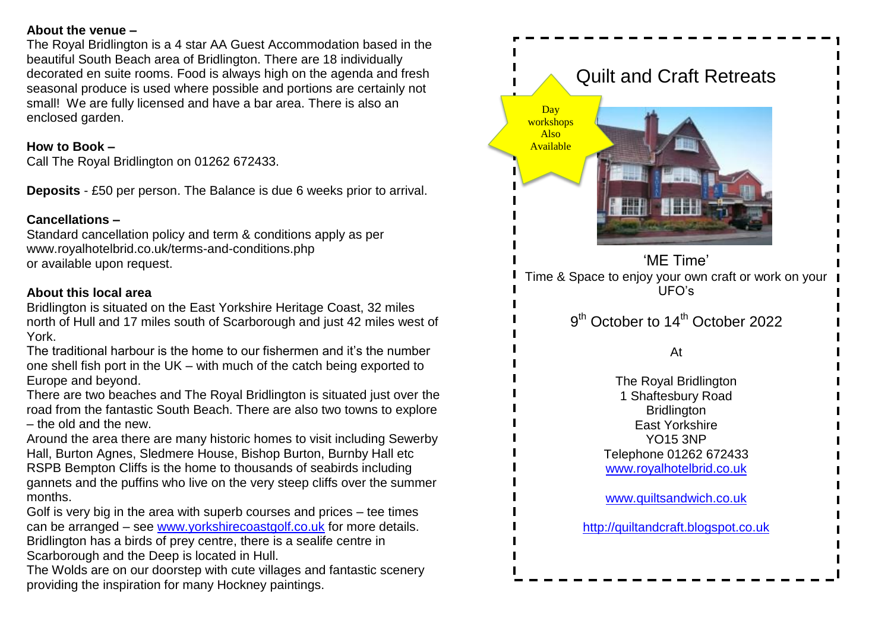#### **About the venue –**

The Royal Bridlington is a 4 star AA Guest Accommodation based in the beautiful South Beach area of Bridlington. There are 18 individually decorated en suite rooms. Food is always high on the agenda and fresh seasonal produce is used where possible and portions are certainly not small! We are fully licensed and have a bar area. There is also an enclosed garden.

#### **How to Book –**

Call The Royal Bridlington on 01262 672433.

**Deposits** - £50 per person. The Balance is due 6 weeks prior to arrival.

# **Cancellations –**

Standard cancellation policy and term & conditions apply as per www.royalhotelbrid.co.uk/terms-and-conditions.php or available upon request.

### **About this local area**

Bridlington is situated on the East Yorkshire Heritage Coast, 32 miles north of Hull and 17 miles south of Scarborough and just 42 miles west of York.

The traditional harbour is the home to our fishermen and it's the number one shell fish port in the UK – with much of the catch being exported to Europe and beyond.

There are two beaches and The Royal Bridlington is situated just over the road from the fantastic South Beach. There are also two towns to explore – the old and the new.

Around the area there are many historic homes to visit including Sewerby Hall, Burton Agnes, Sledmere House, Bishop Burton, Burnby Hall etc RSPB Bempton Cliffs is the home to thousands of seabirds including gannets and the puffins who live on the very steep cliffs over the summer months.

Golf is very big in the area with superb courses and prices – tee times can be arranged – see [www.yorkshirecoastgolf.co.uk](http://www.yorkshirecoastgolf.co.uk/) for more details. Bridlington has a birds of prey centre, there is a sealife centre in Scarborough and the Deep is located in Hull.

The Wolds are on our doorstep with cute villages and fantastic scenery providing the inspiration for many Hockney paintings.